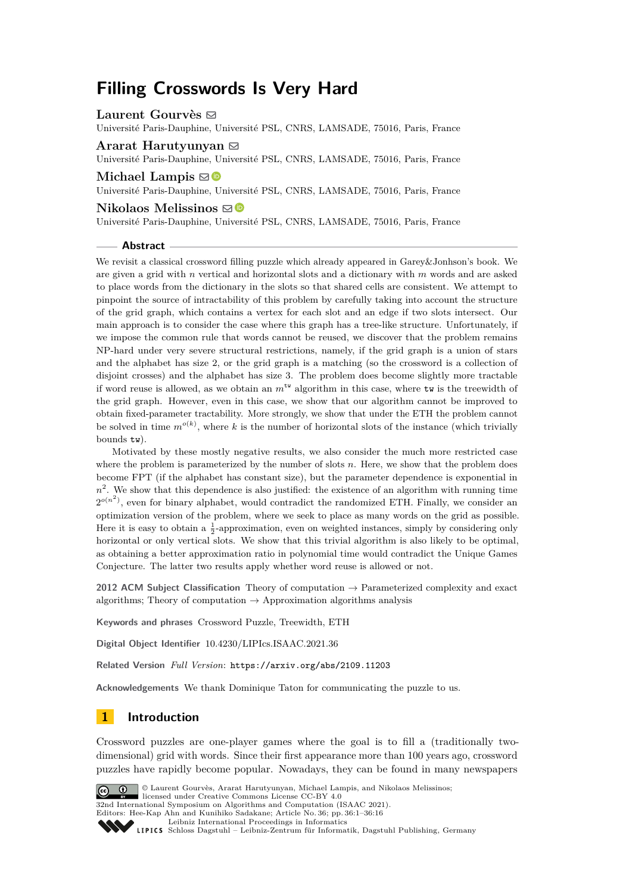# **Filling Crosswords Is Very Hard**

### Laurent Gourvès  $\boxtimes$

Université Paris-Dauphine, Université PSL, CNRS, LAMSADE, 75016, Paris, France

# **Ararat Harutyunyan** ⊠

Université Paris-Dauphine, Université PSL, CNRS, LAMSADE, 75016, Paris, France

### **Michael Lampis**  $\mathbf{\mathbb{D}}$

Université Paris-Dauphine, Université PSL, CNRS, LAMSADE, 75016, Paris, France

### **Nikolaos Melissinos** ⊠<sup>0</sup>

Université Paris-Dauphine, Université PSL, CNRS, LAMSADE, 75016, Paris, France

#### **Abstract**

We revisit a classical crossword filling puzzle which already appeared in Garey&Jonhson's book. We are given a grid with *n* vertical and horizontal slots and a dictionary with *m* words and are asked to place words from the dictionary in the slots so that shared cells are consistent. We attempt to pinpoint the source of intractability of this problem by carefully taking into account the structure of the grid graph, which contains a vertex for each slot and an edge if two slots intersect. Our main approach is to consider the case where this graph has a tree-like structure. Unfortunately, if we impose the common rule that words cannot be reused, we discover that the problem remains NP-hard under very severe structural restrictions, namely, if the grid graph is a union of stars and the alphabet has size 2, or the grid graph is a matching (so the crossword is a collection of disjoint crosses) and the alphabet has size 3. The problem does become slightly more tractable if word reuse is allowed, as we obtain an *m*tw algorithm in this case, where tw is the treewidth of the grid graph. However, even in this case, we show that our algorithm cannot be improved to obtain fixed-parameter tractability. More strongly, we show that under the ETH the problem cannot be solved in time  $m^{o(k)}$ , where k is the number of horizontal slots of the instance (which trivially bounds tw).

Motivated by these mostly negative results, we also consider the much more restricted case where the problem is parameterized by the number of slots *n*. Here, we show that the problem does become FPT (if the alphabet has constant size), but the parameter dependence is exponential in  $n<sup>2</sup>$ . We show that this dependence is also justified: the existence of an algorithm with running time  $2^{o(n^2)}$ , even for binary alphabet, would contradict the randomized ETH. Finally, we consider an optimization version of the problem, where we seek to place as many words on the grid as possible. Here it is easy to obtain a  $\frac{1}{2}$ -approximation, even on weighted instances, simply by considering only horizontal or only vertical slots. We show that this trivial algorithm is also likely to be optimal, as obtaining a better approximation ratio in polynomial time would contradict the Unique Games Conjecture. The latter two results apply whether word reuse is allowed or not.

**2012 ACM Subject Classification** Theory of computation → Parameterized complexity and exact algorithms; Theory of computation  $\rightarrow$  Approximation algorithms analysis

**Keywords and phrases** Crossword Puzzle, Treewidth, ETH

**Digital Object Identifier** [10.4230/LIPIcs.ISAAC.2021.36](https://doi.org/10.4230/LIPIcs.ISAAC.2021.36)

**Related Version** *Full Version*: <https://arxiv.org/abs/2109.11203>

**Acknowledgements** We thank Dominique Taton for communicating the puzzle to us.

## **1 Introduction**

Crossword puzzles are one-player games where the goal is to fill a (traditionally twodimensional) grid with words. Since their first appearance more than 100 years ago, crossword puzzles have rapidly become popular. Nowadays, they can be found in many newspapers



© Laurent Gourvès, Ararat Harutyunyan, Michael Lampis, and Nikolaos Melissinos; licensed under Creative Commons License CC-BY 4.0 32nd International Symposium on Algorithms and Computation (ISAAC 2021).

Editors: Hee-Kap Ahn and Kunihiko Sadakane; Article No. 36; pp. 36:1–36:16

[Leibniz International Proceedings in Informatics](https://www.dagstuhl.de/lipics/)

Leibniz International Froceedings in miormatics<br>
LIPICS [Schloss Dagstuhl – Leibniz-Zentrum für Informatik, Dagstuhl Publishing, Germany](https://www.dagstuhl.de)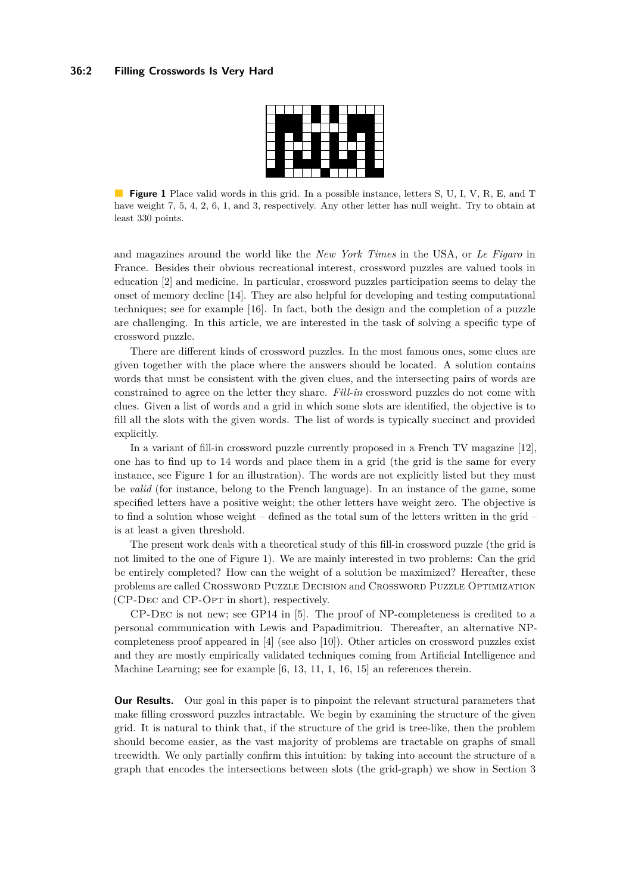<span id="page-1-0"></span>**Figure 1** Place valid words in this grid. In a possible instance, letters S, U, I, V, R, E, and T have weight 7, 5, 4, 2, 6, 1, and 3, respectively. Any other letter has null weight. Try to obtain at least 330 points.

and magazines around the world like the *New York Times* in the USA, or *Le Figaro* in France. Besides their obvious recreational interest, crossword puzzles are valued tools in education [\[2\]](#page-14-0) and medicine. In particular, crossword puzzles participation seems to delay the onset of memory decline [\[14\]](#page-15-0). They are also helpful for developing and testing computational techniques; see for example [\[16\]](#page-15-1). In fact, both the design and the completion of a puzzle are challenging. In this article, we are interested in the task of solving a specific type of crossword puzzle.

There are different kinds of crossword puzzles. In the most famous ones, some clues are given together with the place where the answers should be located. A solution contains words that must be consistent with the given clues, and the intersecting pairs of words are constrained to agree on the letter they share. *Fill-in* crossword puzzles do not come with clues. Given a list of words and a grid in which some slots are identified, the objective is to fill all the slots with the given words. The list of words is typically succinct and provided explicitly.

In a variant of fill-in crossword puzzle currently proposed in a French TV magazine [\[12\]](#page-15-2), one has to find up to 14 words and place them in a grid (the grid is the same for every instance, see Figure [1](#page-1-0) for an illustration). The words are not explicitly listed but they must be *valid* (for instance, belong to the French language). In an instance of the game, some specified letters have a positive weight; the other letters have weight zero. The objective is to find a solution whose weight – defined as the total sum of the letters written in the grid – is at least a given threshold.

The present work deals with a theoretical study of this fill-in crossword puzzle (the grid is not limited to the one of Figure [1\)](#page-1-0). We are mainly interested in two problems: Can the grid be entirely completed? How can the weight of a solution be maximized? Hereafter, these problems are called Crossword Puzzle Decision and Crossword Puzzle Optimization (CP-Dec and CP-Opt in short), respectively.

CP-Dec is not new; see GP14 in [\[5\]](#page-14-1). The proof of NP-completeness is credited to a personal communication with Lewis and Papadimitriou. Thereafter, an alternative NPcompleteness proof appeared in [\[4\]](#page-14-2) (see also [\[10\]](#page-14-3)). Other articles on crossword puzzles exist and they are mostly empirically validated techniques coming from Artificial Intelligence and Machine Learning; see for example [\[6,](#page-14-4) [13,](#page-15-3) [11,](#page-14-5) [1,](#page-14-6) [16,](#page-15-1) [15\]](#page-15-4) an references therein.

**Our Results.** Our goal in this paper is to pinpoint the relevant structural parameters that make filling crossword puzzles intractable. We begin by examining the structure of the given grid. It is natural to think that, if the structure of the grid is tree-like, then the problem should become easier, as the vast majority of problems are tractable on graphs of small treewidth. We only partially confirm this intuition: by taking into account the structure of a graph that encodes the intersections between slots (the grid-graph) we show in Section [3](#page-3-0)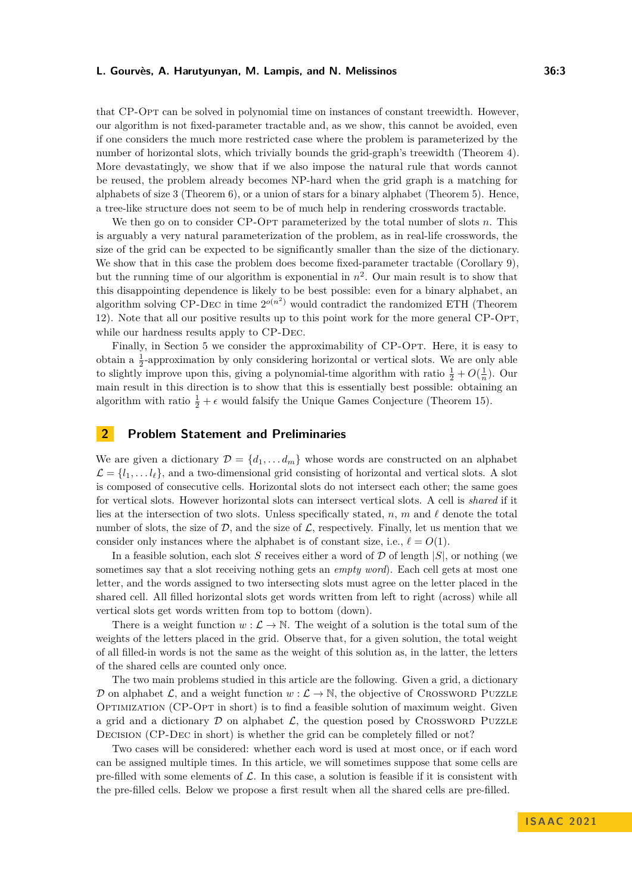that CP-Opt can be solved in polynomial time on instances of constant treewidth. However, our algorithm is not fixed-parameter tractable and, as we show, this cannot be avoided, even if one considers the much more restricted case where the problem is parameterized by the number of horizontal slots, which trivially bounds the grid-graph's treewidth (Theorem [4\)](#page-5-0). More devastatingly, we show that if we also impose the natural rule that words cannot be reused, the problem already becomes NP-hard when the grid graph is a matching for alphabets of size 3 (Theorem [6\)](#page-8-0), or a union of stars for a binary alphabet (Theorem [5\)](#page-6-0). Hence, a tree-like structure does not seem to be of much help in rendering crosswords tractable.

We then go on to consider CP-Opt parameterized by the total number of slots *n*. This is arguably a very natural parameterization of the problem, as in real-life crosswords, the size of the grid can be expected to be significantly smaller than the size of the dictionary. We show that in this case the problem does become fixed-parameter tractable (Corollary [9\)](#page-8-1), but the running time of our algorithm is exponential in  $n^2$ . Our main result is to show that this disappointing dependence is likely to be best possible: even for a binary alphabet, an algorithm solving CP-DEC in time  $2^{o(n^2)}$  would contradict the randomized ETH (Theorem [12\)](#page-9-0). Note that all our positive results up to this point work for the more general CP-Opt, while our hardness results apply to CP-Dec.

Finally, in Section [5](#page-10-0) we consider the approximability of CP-OPT. Here, it is easy to obtain a  $\frac{1}{2}$ -approximation by only considering horizontal or vertical slots. We are only able to slightly improve upon this, giving a polynomial-time algorithm with ratio  $\frac{1}{2} + O(\frac{1}{n})$ . Our main result in this direction is to show that this is essentially best possible: obtaining an algorithm with ratio  $\frac{1}{2} + \epsilon$  would falsify the Unique Games Conjecture (Theorem [15\)](#page-12-0).

### **2 Problem Statement and Preliminaries**

We are given a dictionary  $\mathcal{D} = \{d_1, \ldots, d_m\}$  whose words are constructed on an alphabet  $\mathcal{L} = \{l_1, \ldots, l_\ell\}$ , and a two-dimensional grid consisting of horizontal and vertical slots. A slot is composed of consecutive cells. Horizontal slots do not intersect each other; the same goes for vertical slots. However horizontal slots can intersect vertical slots. A cell is *shared* if it lies at the intersection of two slots. Unless specifically stated,  $n, m$  and  $\ell$  denote the total number of slots, the size of  $D$ , and the size of  $\mathcal{L}$ , respectively. Finally, let us mention that we consider only instances where the alphabet is of constant size, i.e.,  $\ell = O(1)$ .

In a feasible solution, each slot *S* receives either a word of  $D$  of length  $|S|$ , or nothing (we sometimes say that a slot receiving nothing gets an *empty word*). Each cell gets at most one letter, and the words assigned to two intersecting slots must agree on the letter placed in the shared cell. All filled horizontal slots get words written from left to right (across) while all vertical slots get words written from top to bottom (down).

There is a weight function  $w : \mathcal{L} \to \mathbb{N}$ . The weight of a solution is the total sum of the weights of the letters placed in the grid. Observe that, for a given solution, the total weight of all filled-in words is not the same as the weight of this solution as, in the latter, the letters of the shared cells are counted only once.

The two main problems studied in this article are the following. Given a grid, a dictionary D on alphabet L, and a weight function  $w : L \to \mathbb{N}$ , the objective of CROSSWORD PUZZLE OPTIMIZATION (CP-OPT in short) is to find a feasible solution of maximum weight. Given a grid and a dictionary  $\mathcal D$  on alphabet  $\mathcal L$ , the question posed by CROSSWORD PUZZLE DECISION (CP-DEC in short) is whether the grid can be completely filled or not?

<span id="page-2-0"></span>Two cases will be considered: whether each word is used at most once, or if each word can be assigned multiple times. In this article, we will sometimes suppose that some cells are pre-filled with some elements of  $\mathcal{L}$ . In this case, a solution is feasible if it is consistent with the pre-filled cells. Below we propose a first result when all the shared cells are pre-filled.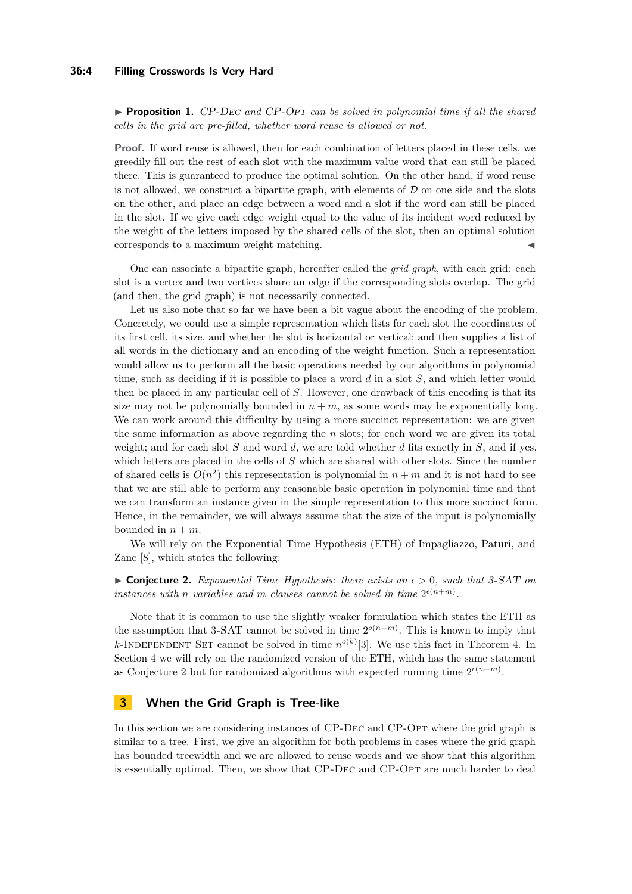### **36:4 Filling Crosswords Is Very Hard**

▶ **Proposition 1.** CP-Dec *and* CP-Opt *can be solved in polynomial time if all the shared cells in the grid are pre-filled, whether word reuse is allowed or not.*

**Proof.** If word reuse is allowed, then for each combination of letters placed in these cells, we greedily fill out the rest of each slot with the maximum value word that can still be placed there. This is guaranteed to produce the optimal solution. On the other hand, if word reuse is not allowed, we construct a bipartite graph, with elements of  $D$  on one side and the slots on the other, and place an edge between a word and a slot if the word can still be placed in the slot. If we give each edge weight equal to the value of its incident word reduced by the weight of the letters imposed by the shared cells of the slot, then an optimal solution corresponds to a maximum weight matching.

One can associate a bipartite graph, hereafter called the *grid graph*, with each grid: each slot is a vertex and two vertices share an edge if the corresponding slots overlap. The grid (and then, the grid graph) is not necessarily connected.

Let us also note that so far we have been a bit vague about the encoding of the problem. Concretely, we could use a simple representation which lists for each slot the coordinates of its first cell, its size, and whether the slot is horizontal or vertical; and then supplies a list of all words in the dictionary and an encoding of the weight function. Such a representation would allow us to perform all the basic operations needed by our algorithms in polynomial time, such as deciding if it is possible to place a word *d* in a slot *S*, and which letter would then be placed in any particular cell of *S*. However, one drawback of this encoding is that its size may not be polynomially bounded in  $n + m$ , as some words may be exponentially long. We can work around this difficulty by using a more succinct representation: we are given the same information as above regarding the *n* slots; for each word we are given its total weight; and for each slot *S* and word *d*, we are told whether *d* fits exactly in *S*, and if yes, which letters are placed in the cells of *S* which are shared with other slots. Since the number of shared cells is  $O(n^2)$  this representation is polynomial in  $n + m$  and it is not hard to see that we are still able to perform any reasonable basic operation in polynomial time and that we can transform an instance given in the simple representation to this more succinct form. Hence, in the remainder, we will always assume that the size of the input is polynomially bounded in  $n + m$ .

We will rely on the Exponential Time Hypothesis (ETH) of Impagliazzo, Paturi, and Zane [\[8\]](#page-14-7), which states the following:

<span id="page-3-1"></span>▶ **Conjecture 2.** *Exponential Time Hypothesis: there exists an ϵ >* 0*, such that* 3-SAT *on instances with n variables and m clauses cannot be solved in time*  $2^{\epsilon(n+m)}$ .

Note that it is common to use the slightly weaker formulation which states the ETH as the assumption that 3-SAT cannot be solved in time  $2^{o(n+m)}$ . This is known to imply that *k*-INDEPENDENT SET cannot be solved in time  $n^{o(k)}[3]$  $n^{o(k)}[3]$ . We use this fact in Theorem [4.](#page-5-0) In Section [4](#page-8-2) we will rely on the randomized version of the ETH, which has the same statement as Conjecture [2](#page-3-1) but for randomized algorithms with expected running time  $2^{\epsilon(n+m)}$ .

# <span id="page-3-0"></span>**3 When the Grid Graph is Tree-like**

In this section we are considering instances of CP-Dec and CP-Opt where the grid graph is similar to a tree. First, we give an algorithm for both problems in cases where the grid graph has bounded treewidth and we are allowed to reuse words and we show that this algorithm is essentially optimal. Then, we show that CP-DEC and CP-OPT are much harder to deal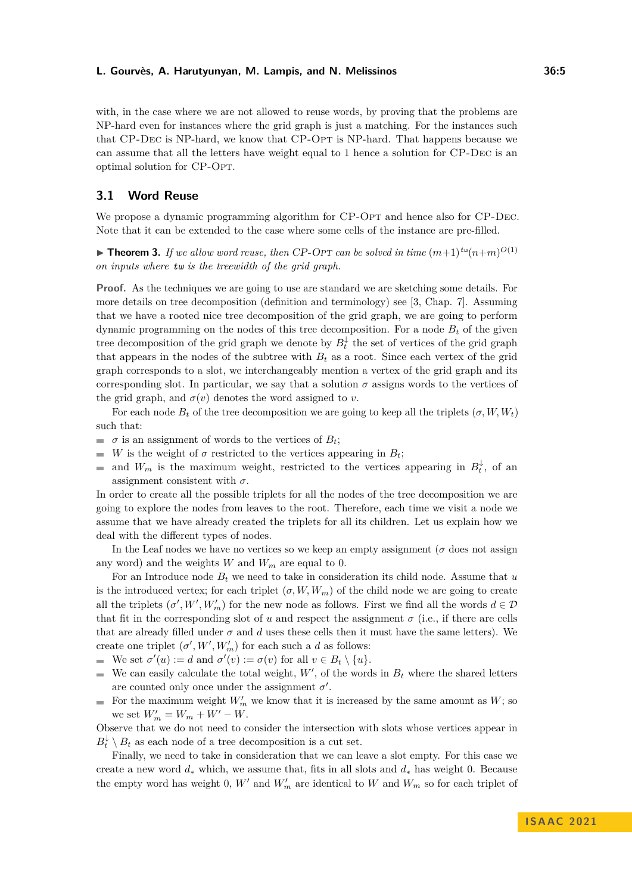with, in the case where we are not allowed to reuse words, by proving that the problems are NP-hard even for instances where the grid graph is just a matching. For the instances such that CP-Dec is NP-hard, we know that CP-Opt is NP-hard. That happens because we can assume that all the letters have weight equal to 1 hence a solution for CP-Dec is an optimal solution for CP-Opt.

### **3.1 Word Reuse**

We propose a dynamic programming algorithm for CP-OPT and hence also for CP-DEC. Note that it can be extended to the case where some cells of the instance are pre-filled.

 $\blacktriangleright$  **Theorem 3.** If we allow word reuse, then CP-OPT can be solved in time  $(m+1)^{tw}(n+m)^{O(1)}$ *on inputs where tw is the treewidth of the grid graph.*

**Proof.** As the techniques we are going to use are standard we are sketching some details. For more details on tree decomposition (definition and terminology) see [\[3,](#page-14-8) Chap. 7]. Assuming that we have a rooted nice tree decomposition of the grid graph, we are going to perform dynamic programming on the nodes of this tree decomposition. For a node  $B_t$  of the given tree decomposition of the grid graph we denote by  $B_t^{\downarrow}$  the set of vertices of the grid graph that appears in the nodes of the subtree with  $B_t$  as a root. Since each vertex of the grid graph corresponds to a slot, we interchangeably mention a vertex of the grid graph and its corresponding slot. In particular, we say that a solution  $\sigma$  assigns words to the vertices of the grid graph, and  $\sigma(v)$  denotes the word assigned to *v*.

For each node  $B_t$  of the tree decomposition we are going to keep all the triplets  $(\sigma, W, W_t)$ such that:

- $\sigma$  is an assignment of words to the vertices of  $B_t$ ;
- *W* is the weight of  $\sigma$  restricted to the vertices appearing in  $B_t$ ;
- and  $W_m$  is the maximum weight, restricted to the vertices appearing in  $B_t^{\downarrow}$ , of an assignment consistent with  $\sigma$ .

In order to create all the possible triplets for all the nodes of the tree decomposition we are going to explore the nodes from leaves to the root. Therefore, each time we visit a node we assume that we have already created the triplets for all its children. Let us explain how we deal with the different types of nodes.

In the Leaf nodes we have no vertices so we keep an empty assignment ( $\sigma$  does not assign any word) and the weights *W* and  $W_m$  are equal to 0.

For an Introduce node *B<sup>t</sup>* we need to take in consideration its child node. Assume that *u* is the introduced vertex; for each triplet  $(\sigma, W, W_m)$  of the child node we are going to create all the triplets  $(\sigma', W', W'_m)$  for the new node as follows. First we find all the words  $d \in \mathcal{D}$ that fit in the corresponding slot of *u* and respect the assignment  $\sigma$  (i.e., if there are cells that are already filled under  $\sigma$  and  $d$  uses these cells then it must have the same letters). We create one triplet  $(\sigma', W', W'_m)$  for each such a *d* as follows:

- We set  $\sigma'(u) := d$  and  $\sigma'(v) := \sigma(v)$  for all  $v \in B_t \setminus \{u\}.$
- We can easily calculate the total weight,  $W'$ , of the words in  $B_t$  where the shared letters  $\mathbf{r}$ are counted only once under the assignment  $\sigma'$ .
- For the maximum weight  $W'_m$  we know that it is increased by the same amount as  $W$ ; so  $\mathcal{L}_{\mathcal{A}}$  $we$  set  $W'_m = W_m + W' - W$ .

Observe that we do not need to consider the intersection with slots whose vertices appear in  $B_t^{\downarrow} \setminus B_t$  as each node of a tree decomposition is a cut set.

Finally, we need to take in consideration that we can leave a slot empty. For this case we create a new word *d*<sup>∗</sup> which, we assume that, fits in all slots and *d*<sup>∗</sup> has weight 0. Because the empty word has weight 0,  $W'$  and  $W'_m$  are identical to  $W$  and  $W_m$  so for each triplet of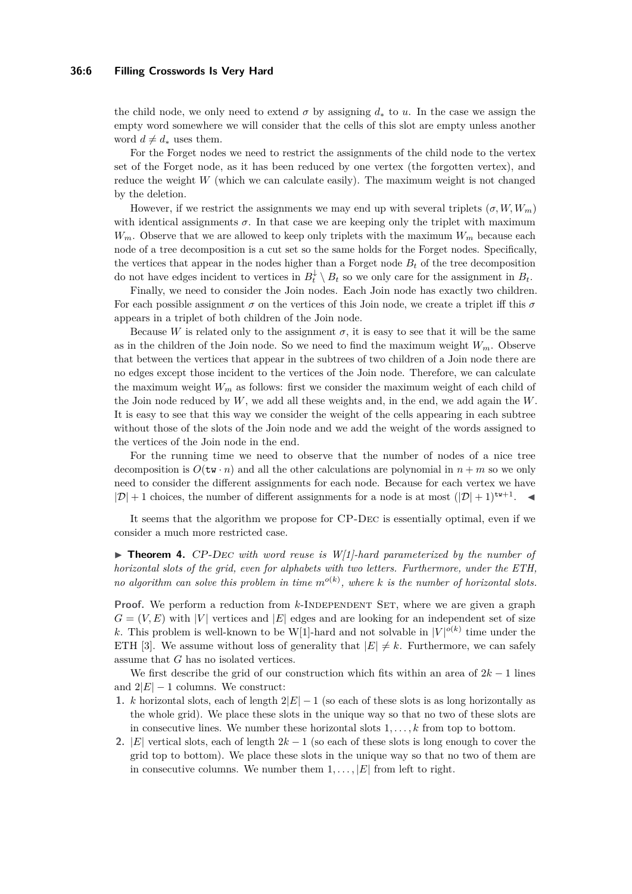### **36:6 Filling Crosswords Is Very Hard**

the child node, we only need to extend  $\sigma$  by assigning  $d_*$  to *u*. In the case we assign the empty word somewhere we will consider that the cells of this slot are empty unless another word  $d \neq d_*$  uses them.

For the Forget nodes we need to restrict the assignments of the child node to the vertex set of the Forget node, as it has been reduced by one vertex (the forgotten vertex), and reduce the weight *W* (which we can calculate easily). The maximum weight is not changed by the deletion.

However, if we restrict the assignments we may end up with several triplets  $(\sigma, W, W_m)$ with identical assignments  $\sigma$ . In that case we are keeping only the triplet with maximum  $W_m$ . Observe that we are allowed to keep only triplets with the maximum  $W_m$  because each node of a tree decomposition is a cut set so the same holds for the Forget nodes. Specifically, the vertices that appear in the nodes higher than a Forget node  $B_t$  of the tree decomposition do not have edges incident to vertices in  $B_t^{\downarrow} \setminus B_t$  so we only care for the assignment in  $B_t$ .

Finally, we need to consider the Join nodes. Each Join node has exactly two children. For each possible assignment *σ* on the vertices of this Join node, we create a triplet iff this *σ* appears in a triplet of both children of the Join node.

Because *W* is related only to the assignment  $\sigma$ , it is easy to see that it will be the same as in the children of the Join node. So we need to find the maximum weight  $W_m$ . Observe that between the vertices that appear in the subtrees of two children of a Join node there are no edges except those incident to the vertices of the Join node. Therefore, we can calculate the maximum weight  $W_m$  as follows: first we consider the maximum weight of each child of the Join node reduced by *W*, we add all these weights and, in the end, we add again the *W*. It is easy to see that this way we consider the weight of the cells appearing in each subtree without those of the slots of the Join node and we add the weight of the words assigned to the vertices of the Join node in the end.

For the running time we need to observe that the number of nodes of a nice tree decomposition is  $O(tw \cdot n)$  and all the other calculations are polynomial in  $n + m$  so we only need to consider the different assignments for each node. Because for each vertex we have  $|\mathcal{D}| + 1$  choices, the number of different assignments for a node is at most  $(|\mathcal{D}| + 1)^{tw+1}$ .

It seems that the algorithm we propose for CP-Dec is essentially optimal, even if we consider a much more restricted case.

<span id="page-5-0"></span>▶ **Theorem 4.** CP-Dec *with word reuse is W[1]-hard parameterized by the number of horizontal slots of the grid, even for alphabets with two letters. Furthermore, under the ETH, no algorithm can solve this problem in time*  $m^{o(k)}$ , where *k is the number of horizontal slots.* 

**Proof.** We perform a reduction from *k*-INDEPENDENT SET, where we are given a graph  $G = (V, E)$  with |*V*| vertices and |*E*| edges and are looking for an independent set of size k. This problem is well-known to be W[1]-hard and not solvable in  $|V|^{o(k)}$  time under the ETH [\[3\]](#page-14-8). We assume without loss of generality that  $|E| \neq k$ . Furthermore, we can safely assume that *G* has no isolated vertices.

We first describe the grid of our construction which fits within an area of  $2k - 1$  lines and  $2|E| - 1$  columns. We construct:

- **1.** *k* horizontal slots, each of length  $2|E| 1$  (so each of these slots is as long horizontally as the whole grid). We place these slots in the unique way so that no two of these slots are in consecutive lines. We number these horizontal slots  $1, \ldots, k$  from top to bottom.
- **2.** |*E*| vertical slots, each of length 2*k* − 1 (so each of these slots is long enough to cover the grid top to bottom). We place these slots in the unique way so that no two of them are in consecutive columns. We number them  $1, \ldots, |E|$  from left to right.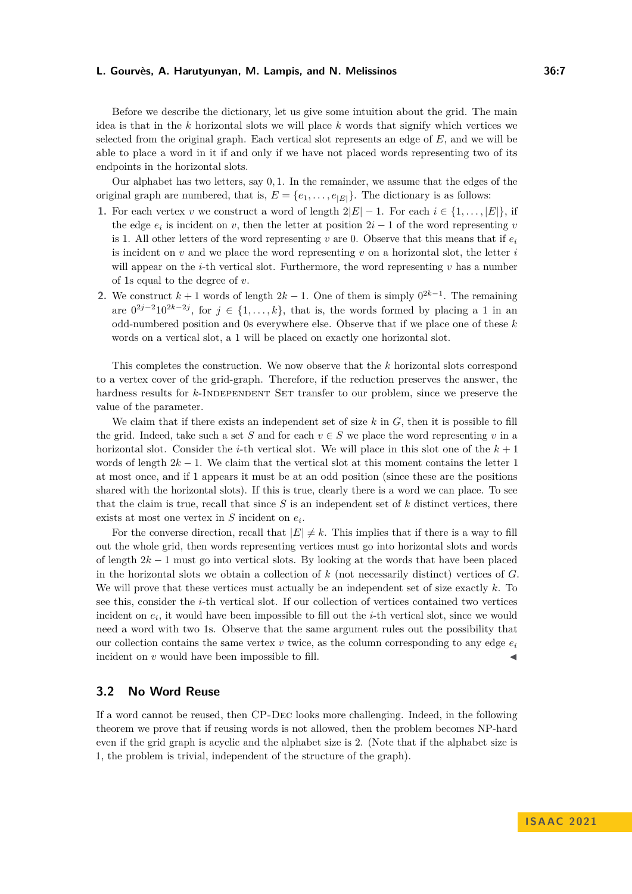Before we describe the dictionary, let us give some intuition about the grid. The main idea is that in the *k* horizontal slots we will place *k* words that signify which vertices we selected from the original graph. Each vertical slot represents an edge of *E*, and we will be able to place a word in it if and only if we have not placed words representing two of its endpoints in the horizontal slots.

Our alphabet has two letters, say 0*,* 1. In the remainder, we assume that the edges of the original graph are numbered, that is,  $E = \{e_1, \ldots, e_{|E|}\}.$  The dictionary is as follows:

- **1.** For each vertex *v* we construct a word of length  $2|E|-1$ . For each  $i \in \{1, \ldots, |E|\}$ , if the edge  $e_i$  is incident on *v*, then the letter at position  $2i - 1$  of the word representing *v* is 1. All other letters of the word representing *v* are 0. Observe that this means that if  $e_i$ is incident on  $v$  and we place the word representing  $v$  on a horizontal slot, the letter  $i$ will appear on the *i*-th vertical slot. Furthermore, the word representing  $v$  has a number of 1s equal to the degree of *v*.
- **2.** We construct  $k + 1$  words of length  $2k 1$ . One of them is simply  $0^{2k-1}$ . The remaining are  $0^{2j-2}10^{2k-2j}$ , for  $j \in \{1,\ldots,k\}$ , that is, the words formed by placing a 1 in an odd-numbered position and 0s everywhere else. Observe that if we place one of these *k* words on a vertical slot, a 1 will be placed on exactly one horizontal slot.

This completes the construction. We now observe that the *k* horizontal slots correspond to a vertex cover of the grid-graph. Therefore, if the reduction preserves the answer, the hardness results for *k*-INDEPENDENT SET transfer to our problem, since we preserve the value of the parameter.

We claim that if there exists an independent set of size *k* in *G*, then it is possible to fill the grid. Indeed, take such a set *S* and for each  $v \in S$  we place the word representing *v* in a horizontal slot. Consider the *i*-th vertical slot. We will place in this slot one of the  $k+1$ words of length  $2k - 1$ . We claim that the vertical slot at this moment contains the letter 1 at most once, and if 1 appears it must be at an odd position (since these are the positions shared with the horizontal slots). If this is true, clearly there is a word we can place. To see that the claim is true, recall that since *S* is an independent set of *k* distinct vertices, there exists at most one vertex in *S* incident on *e<sup>i</sup>* .

For the converse direction, recall that  $|E| \neq k$ . This implies that if there is a way to fill out the whole grid, then words representing vertices must go into horizontal slots and words of length 2*k* − 1 must go into vertical slots. By looking at the words that have been placed in the horizontal slots we obtain a collection of *k* (not necessarily distinct) vertices of *G*. We will prove that these vertices must actually be an independent set of size exactly *k*. To see this, consider the *i*-th vertical slot. If our collection of vertices contained two vertices incident on  $e_i$ , it would have been impossible to fill out the *i*-th vertical slot, since we would need a word with two 1s. Observe that the same argument rules out the possibility that our collection contains the same vertex  $v$  twice, as the column corresponding to any edge  $e_i$ incident on  $v$  would have been impossible to fill.  $\blacksquare$ 

# **3.2 No Word Reuse**

<span id="page-6-0"></span>If a word cannot be reused, then CP-Dec looks more challenging. Indeed, in the following theorem we prove that if reusing words is not allowed, then the problem becomes NP-hard even if the grid graph is acyclic and the alphabet size is 2. (Note that if the alphabet size is 1, the problem is trivial, independent of the structure of the graph).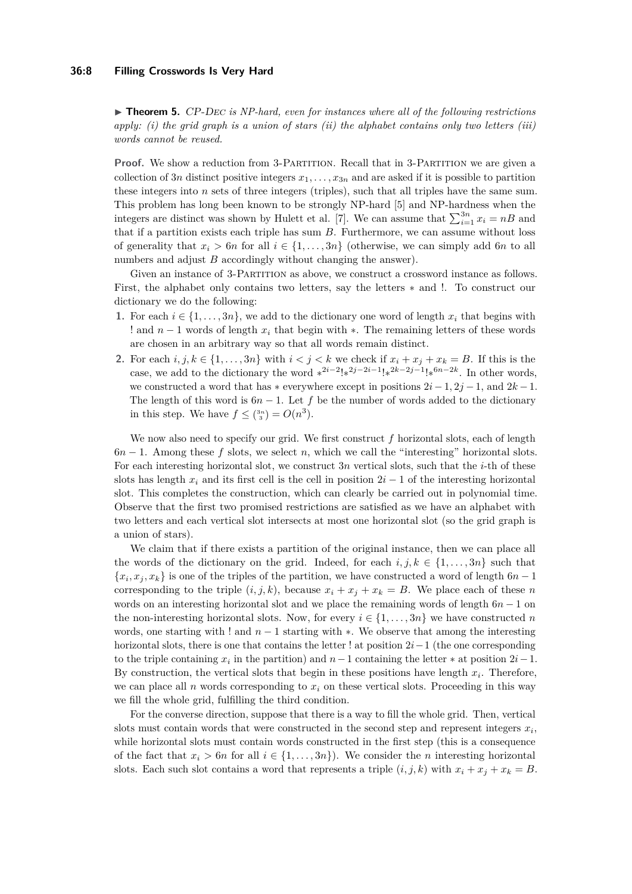### **36:8 Filling Crosswords Is Very Hard**

▶ **Theorem 5.** CP-Dec *is NP-hard, even for instances where all of the following restrictions apply: (i) the grid graph is a union of stars (ii) the alphabet contains only two letters (iii) words cannot be reused.*

**Proof.** We show a reduction from 3-PARTITION. Recall that in 3-PARTITION we are given a collection of 3*n* distinct positive integers  $x_1, \ldots, x_{3n}$  and are asked if it is possible to partition these integers into *n* sets of three integers (triples), such that all triples have the same sum. This problem has long been known to be strongly NP-hard [\[5\]](#page-14-1) and NP-hardness when the integers are distinct was shown by Hulett et al. [\[7\]](#page-14-9). We can assume that  $\sum_{i=1}^{3n} x_i = nB$  and that if a partition exists each triple has sum *B*. Furthermore, we can assume without loss of generality that  $x_i > 6n$  for all  $i \in \{1, \ldots, 3n\}$  (otherwise, we can simply add 6*n* to all numbers and adjust *B* accordingly without changing the answer).

Given an instance of 3-PARTITION as above, we construct a crossword instance as follows. First, the alphabet only contains two letters, say the letters ∗ and !. To construct our dictionary we do the following:

- **1.** For each  $i \in \{1, \ldots, 3n\}$ , we add to the dictionary one word of length  $x_i$  that begins with ! and *n* − 1 words of length *x<sup>i</sup>* that begin with ∗. The remaining letters of these words are chosen in an arbitrary way so that all words remain distinct.
- **2.** For each  $i, j, k \in \{1, \ldots, 3n\}$  with  $i < j < k$  we check if  $x_i + x_j + x_k = B$ . If this is the case, we add to the dictionary the word  $*^{2i-2}$ ! $*^{2j-2i-1}$ ! $*^{2k-2j-1}$ ! $*^{6n-2k}$ . In other words, we constructed a word that has  $*$  everywhere except in positions  $2i - 1$ ,  $2j - 1$ , and  $2k - 1$ . The length of this word is  $6n - 1$ . Let *f* be the number of words added to the dictionary in this step. We have  $f \leq \binom{3n}{3} = O(n^3)$ .

We now also need to specify our grid. We first construct f horizontal slots, each of length  $6n - 1$ . Among these f slots, we select *n*, which we call the "interesting" horizontal slots. For each interesting horizontal slot, we construct 3*n* vertical slots, such that the *i*-th of these slots has length  $x_i$  and its first cell is the cell in position  $2i - 1$  of the interesting horizontal slot. This completes the construction, which can clearly be carried out in polynomial time. Observe that the first two promised restrictions are satisfied as we have an alphabet with two letters and each vertical slot intersects at most one horizontal slot (so the grid graph is a union of stars).

We claim that if there exists a partition of the original instance, then we can place all the words of the dictionary on the grid. Indeed, for each  $i, j, k \in \{1, ..., 3n\}$  such that  ${x_i, x_j, x_k}$  is one of the triples of the partition, we have constructed a word of length  $6n - 1$ corresponding to the triple  $(i, j, k)$ , because  $x_i + x_j + x_k = B$ . We place each of these *n* words on an interesting horizontal slot and we place the remaining words of length 6*n* − 1 on the non-interesting horizontal slots. Now, for every  $i \in \{1, \ldots, 3n\}$  we have constructed *n* words, one starting with ! and  $n-1$  starting with  $*$ . We observe that among the interesting horizontal slots, there is one that contains the letter ! at position 2*i*−1 (the one corresponding to the triple containing  $x_i$  in the partition) and  $n-1$  containing the letter  $*$  at position  $2i-1$ . By construction, the vertical slots that begin in these positions have length  $x_i$ . Therefore, we can place all  $n$  words corresponding to  $x_i$  on these vertical slots. Proceeding in this way we fill the whole grid, fulfilling the third condition.

For the converse direction, suppose that there is a way to fill the whole grid. Then, vertical slots must contain words that were constructed in the second step and represent integers  $x_i$ , while horizontal slots must contain words constructed in the first step (this is a consequence of the fact that  $x_i > 6n$  for all  $i \in \{1, \ldots, 3n\}$ . We consider the *n* interesting horizontal slots. Each such slot contains a word that represents a triple  $(i, j, k)$  with  $x_i + x_j + x_k = B$ .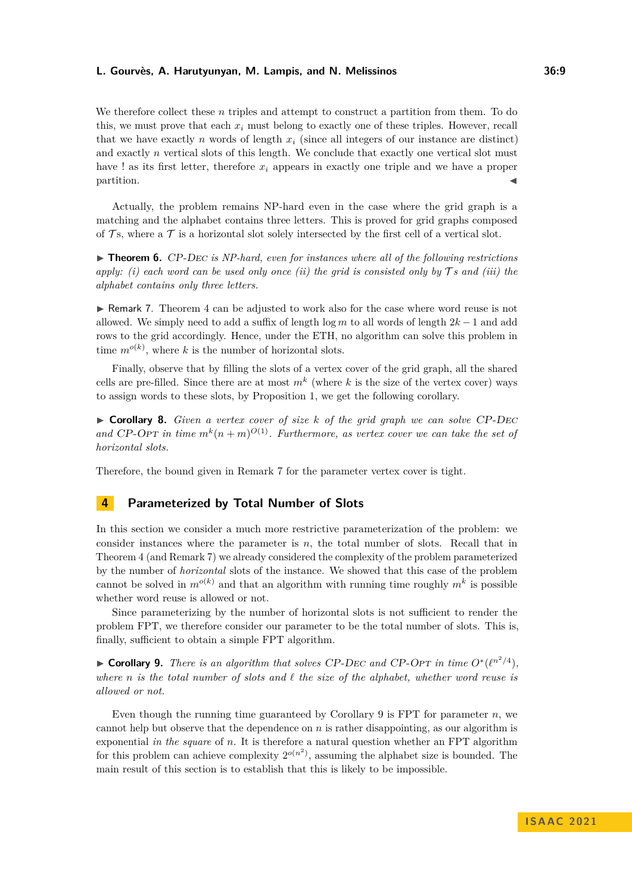We therefore collect these *n* triples and attempt to construct a partition from them. To do this, we must prove that each  $x_i$  must belong to exactly one of these triples. However, recall that we have exactly *n* words of length  $x_i$  (since all integers of our instance are distinct) and exactly *n* vertical slots of this length. We conclude that exactly one vertical slot must have ! as its first letter, therefore  $x_i$  appears in exactly one triple and we have a proper partition.

Actually, the problem remains NP-hard even in the case where the grid graph is a matching and the alphabet contains three letters. This is proved for grid graphs composed of  $\mathcal T$ s, where a  $\mathcal T$  is a horizontal slot solely intersected by the first cell of a vertical slot.

<span id="page-8-0"></span>▶ **Theorem 6.** CP-Dec *is NP-hard, even for instances where all of the following restrictions apply: (i) each word can be used only once (ii) the grid is consisted only by*  $\mathcal{T}s$  and *(iii) the alphabet contains only three letters.*

<span id="page-8-3"></span>▶ Remark 7. Theorem [4](#page-5-0) can be adjusted to work also for the case where word reuse is not allowed. We simply need to add a suffix of length log *m* to all words of length 2*k* − 1 and add rows to the grid accordingly. Hence, under the ETH, no algorithm can solve this problem in time  $m^{o(k)}$ , where *k* is the number of horizontal slots.

Finally, observe that by filling the slots of a vertex cover of the grid graph, all the shared cells are pre-filled. Since there are at most  $m^k$  (where  $k$  is the size of the vertex cover) ways to assign words to these slots, by Proposition [1,](#page-2-0) we get the following corollary.

▶ **Corollary 8.** *Given a vertex cover of size k of the grid graph we can solve* CP-Dec and CP-Opt in time  $m^k(n+m)^{O(1)}$ . Furthermore, as vertex cover we can take the set of *horizontal slots.*

Therefore, the bound given in Remark [7](#page-8-3) for the parameter vertex cover is tight.

### <span id="page-8-2"></span>**4 Parameterized by Total Number of Slots**

In this section we consider a much more restrictive parameterization of the problem: we consider instances where the parameter is *n*, the total number of slots. Recall that in Theorem [4](#page-5-0) (and Remark [7\)](#page-8-3) we already considered the complexity of the problem parameterized by the number of *horizontal* slots of the instance. We showed that this case of the problem cannot be solved in  $m^{o(k)}$  and that an algorithm with running time roughly  $m^k$  is possible whether word reuse is allowed or not.

Since parameterizing by the number of horizontal slots is not sufficient to render the problem FPT, we therefore consider our parameter to be the total number of slots. This is, finally, sufficient to obtain a simple FPT algorithm.

<span id="page-8-1"></span>▶ **Corollary 9.** *There is an algorithm that solves CP-DEC and CP-OPT in time*  $O^*(\ell^{n^2/4})$ *, where n is the total number of slots and ℓ the size of the alphabet, whether word reuse is allowed or not.*

Even though the running time guaranteed by Corollary [9](#page-8-1) is FPT for parameter *n*, we cannot help but observe that the dependence on *n* is rather disappointing, as our algorithm is exponential *in the square* of *n*. It is therefore a natural question whether an FPT algorithm for this problem can achieve complexity  $2^{o(n^2)}$ , assuming the alphabet size is bounded. The main result of this section is to establish that this is likely to be impossible.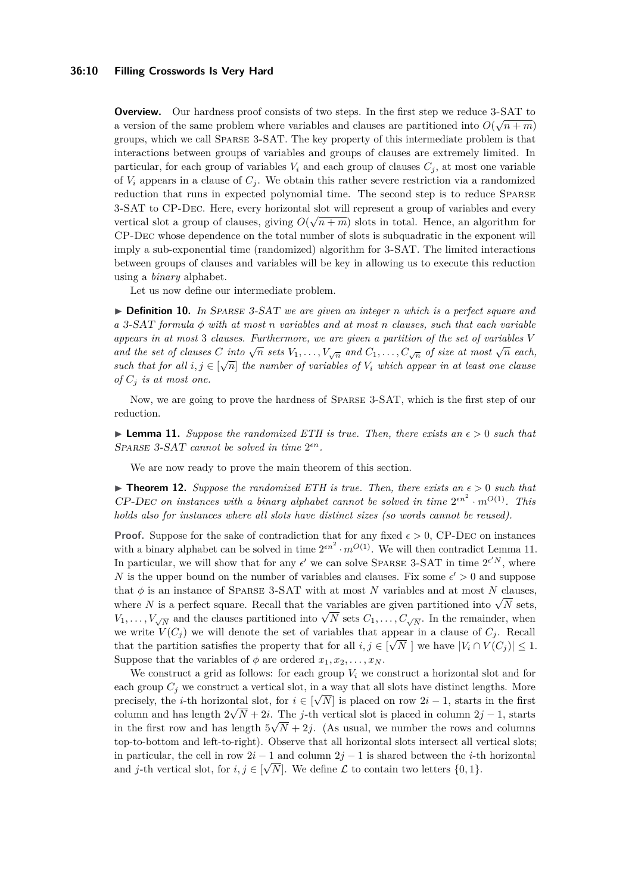### **36:10 Filling Crosswords Is Very Hard**

**Overview.** Our hardness proof consists of two steps. In the first step we reduce  $3-SAT$  to a version of the same problem where variables and clauses are partitioned into  $O(\sqrt{n+m})$ groups, which we call Sparse 3-SAT. The key property of this intermediate problem is that interactions between groups of variables and groups of clauses are extremely limited. In particular, for each group of variables  $V_i$  and each group of clauses  $C_j$ , at most one variable of  $V_i$  appears in a clause of  $C_i$ . We obtain this rather severe restriction via a randomized reduction that runs in expected polynomial time. The second step is to reduce Sparse 3-SAT to CP-DEC. Here, every horizontal slot will represent a group of variables and every vertical slot a group of clauses, giving  $O(\sqrt{n+m})$  slots in total. Hence, an algorithm for CP-Dec whose dependence on the total number of slots is subquadratic in the exponent will imply a sub-exponential time (randomized) algorithm for 3-SAT. The limited interactions between groups of clauses and variables will be key in allowing us to execute this reduction using a *binary* alphabet.

Let us now define our intermediate problem.

▶ **Definition 10.** *In* Sparse 3-SAT *we are given an integer n which is a perfect square and a* 3-SAT *formula ϕ with at most n variables and at most n clauses, such that each variable appears in at most* 3 *clauses. Furthermore, we are given a partition of the set of variables V and the set of clauses C into*  $\sqrt{n}$  *sets*  $V_1, \ldots, V_{\sqrt{n}}$  *and*  $C_1, \ldots, C_{\sqrt{n}}$  *of size at most*  $\sqrt{n}$  *each, such that for all*  $i, j \in [\sqrt{n}]$  *the number of variables of*  $V_i$  *which appear in at least one clause of*  $C_i$  *is at most one.* 

Now, we are going to prove the hardness of Sparse 3-SAT, which is the first step of our reduction.

<span id="page-9-1"></span>▶ **Lemma 11.** *Suppose the randomized ETH is true. Then, there exists an ϵ >* 0 *such that* SPARSE 3-SAT cannot be solved in time  $2^{\epsilon n}$ .

We are now ready to prove the main theorem of this section.

<span id="page-9-0"></span>▶ **Theorem 12.** *Suppose the randomized ETH is true. Then, there exists an ϵ >* 0 *such that* CP-DEC on instances with a binary alphabet cannot be solved in time  $2^{\epsilon n^2} \cdot m^{O(1)}$ . This *holds also for instances where all slots have distinct sizes (so words cannot be reused).*

**Proof.** Suppose for the sake of contradiction that for any fixed  $\epsilon > 0$ , CP-DEC on instances with a binary alphabet can be solved in time  $2^{\epsilon n^2} \cdot m^{O(1)}$ . We will then contradict Lemma [11.](#page-9-1) In particular, we will show that for any  $\epsilon'$  we can solve SPARSE 3-SAT in time  $2^{\epsilon' N}$ , where *N* is the upper bound on the number of variables and clauses. Fix some  $\epsilon' > 0$  and suppose that  $\phi$  is an instance of SPARSE 3-SAT with at most *N* variables and at most *N* clauses, where *N* is a perfect square. Recall that the variables are given partitioned into  $\sqrt{N}$  sets, *V*<sub>1</sub>*,* . . . ,  $V_{\sqrt{N}}$  and the clauses partitioned into  $\sqrt{N}$  sets  $C_1, \ldots, C_{\sqrt{N}}$ . In the remainder, when we write  $V(C_j)$  we will denote the set of variables that appear in a clause of  $C_j$ . Recall that the partition satisfies the property that for all  $i, j \in [\sqrt{N}]$  we have  $|V_i \cap V(C_j)| \leq 1$ . Suppose that the variables of  $\phi$  are ordered  $x_1, x_2, \ldots, x_N$ .

We construct a grid as follows: for each group  $V_i$  we construct a horizontal slot and for each group  $C_j$  we construct a vertical slot, in a way that all slots have distinct lengths. More precisely, the *i*-th horizontal slot, for  $i \in [\sqrt{N}]$  is placed on row  $2i - 1$ , starts in the first column and has length  $2\sqrt{N+2i}$ . The *j*-th vertical slot is placed in column  $2j-1$ , starts in the first row and has length  $5\sqrt{N} + 2j$ . (As usual, we number the rows and columns top-to-bottom and left-to-right). Observe that all horizontal slots intersect all vertical slots; in particular, the cell in row  $2i - 1$  and column  $2j - 1$  is shared between the *i*-th horizontal and *j*-th vertical slot, for  $i, j \in [\sqrt{N}]$ . We define  $\mathcal L$  to contain two letters  $\{0, 1\}$ .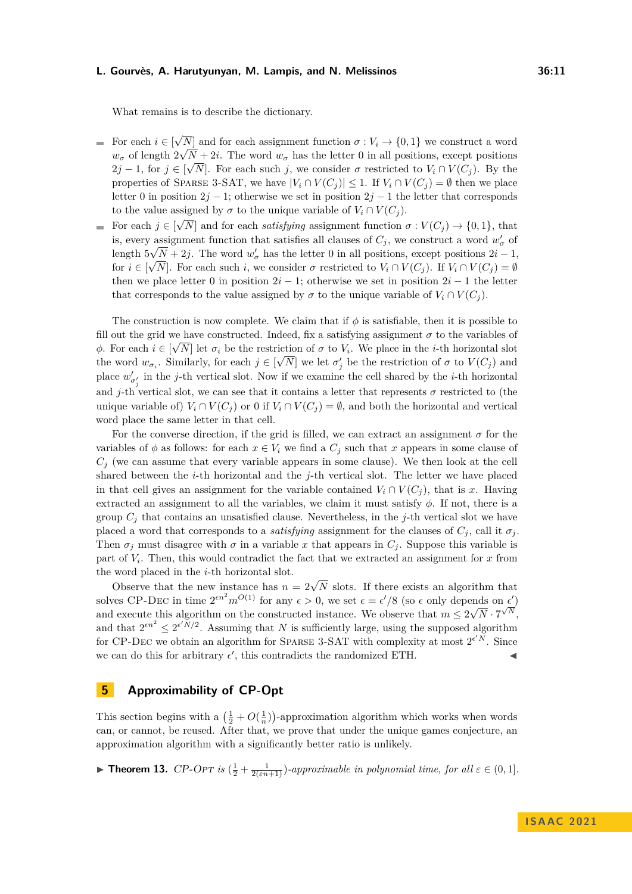What remains is to describe the dictionary.

- √ For each  $i \in [$ *N*] and for each assignment function  $\sigma : V_i \to \{0,1\}$  we construct a word  $\equiv$  $w_{\sigma}$  of length  $2\sqrt{N+2i}$ . The word  $w_{\sigma}$  has the letter 0 in all positions, except positions 2*j* − 1, for *j* ∈ [ $\sqrt{N}$ ]. For each such *j*, we consider  $\sigma$  restricted to  $V_i \cap V(C_j)$ . By the properties of SPARSE 3-SAT, we have  $|V_i \cap V(C_i)| \leq 1$ . If  $V_i \cap V(C_i) = \emptyset$  then we place letter 0 in position  $2j - 1$ ; otherwise we set in position  $2j - 1$  the letter that corresponds to the value assigned by  $\sigma$  to the unique variable of  $V_i \cap V(C_j)$ .
- $\equiv$ For each  $j \in [\sqrt{N}]$  and for each *satisfying* assignment function  $\sigma : V(C_j) \to \{0,1\}$ , that is, every assignment function that satisfies all clauses of  $C_j$ , we construct a word  $w'_\sigma$  of length  $5\sqrt{N} + 2j$ . The word  $w'_\sigma$  has the letter 0 in all positions, except positions  $2i - 1$ , for  $i \in [\sqrt{N}]$ . For each such *i*, we consider  $\sigma$  restricted to  $V_i \cap V(C_j)$ . If  $V_i \cap V(C_j) = \emptyset$ then we place letter 0 in position  $2i - 1$ ; otherwise we set in position  $2i - 1$  the letter that corresponds to the value assigned by  $\sigma$  to the unique variable of  $V_i \cap V(C_i)$ .

The construction is now complete. We claim that if  $\phi$  is satisfiable, then it is possible to fill out the grid we have constructed. Indeed, fix a satisfying assignment  $\sigma$  to the variables of  $\phi$ . For each  $i \in [\sqrt{N}]$  let  $\sigma_i$  be the restriction of  $\sigma$  to  $V_i$ . We place in the *i*-th horizontal slot the word  $w_{\sigma_i}$ . Similarly, for each  $j \in [\sqrt{N}]$  we let  $\sigma'_j$  be the restriction of  $\sigma$  to  $V(C_j)$  and place  $w'_{\sigma'_j}$  in the *j*-th vertical slot. Now if we examine the cell shared by the *i*-th horizontal and *j*-th vertical slot, we can see that it contains a letter that represents  $\sigma$  restricted to (the unique variable of)  $V_i \cap V(C_i)$  or 0 if  $V_i \cap V(C_i) = \emptyset$ , and both the horizontal and vertical word place the same letter in that cell.

For the converse direction, if the grid is filled, we can extract an assignment  $\sigma$  for the variables of  $\phi$  as follows: for each  $x \in V_i$  we find a  $C_j$  such that  $x$  appears in some clause of  $C_i$  (we can assume that every variable appears in some clause). We then look at the cell shared between the *i*-th horizontal and the *j*-th vertical slot. The letter we have placed in that cell gives an assignment for the variable contained  $V_i \cap V(C_j)$ , that is *x*. Having extracted an assignment to all the variables, we claim it must satisfy  $\phi$ . If not, there is a group  $C_i$  that contains an unsatisfied clause. Nevertheless, in the *j*-th vertical slot we have placed a word that corresponds to a *satisfying* assignment for the clauses of  $C_j$ , call it  $\sigma_j$ . Then  $\sigma_j$  must disagree with  $\sigma$  in a variable x that appears in  $C_j$ . Suppose this variable is part of *V<sup>i</sup>* . Then, this would contradict the fact that we extracted an assignment for *x* from the word placed in the *i*-th horizontal slot.

Observe that the new instance has  $n = 2\sqrt{N}$  slots. If there exists an algorithm that solves CP-DEC in time  $2^{\epsilon n^2} m^{O(1)}$  for any  $\epsilon > 0$ , we set  $\epsilon = \epsilon'/8$  (so  $\epsilon$  only depends on  $\epsilon'$ ) and execute this algorithm on the constructed instance. We observe that  $m \leq 2$ √  $\frac{X}{N}$ .  $7^{\sqrt{N}}$ , and that  $2^{\epsilon n^2} \leq 2^{\epsilon' N/2}$ . Assuming that *N* is sufficiently large, using the supposed algorithm for CP-DEC we obtain an algorithm for SPARSE 3-SAT with complexity at most  $2^{\epsilon' N}$ . Since we can do this for arbitrary  $\epsilon'$ , this contradicts the randomized ETH.  $\blacktriangleleft$ 

# <span id="page-10-0"></span>**5 Approximability of CP-Opt**

This section begins with a  $\left(\frac{1}{2} + O(\frac{1}{n})\right)$ -approximation algorithm which works when words can, or cannot, be reused. After that, we prove that under the unique games conjecture, an approximation algorithm with a significantly better ratio is unlikely.

▶ **Theorem 13.** CP-Opt is  $(\frac{1}{2} + \frac{1}{2(\epsilon n+1)})$ -approximable in polynomial time, for all  $\epsilon \in (0,1]$ .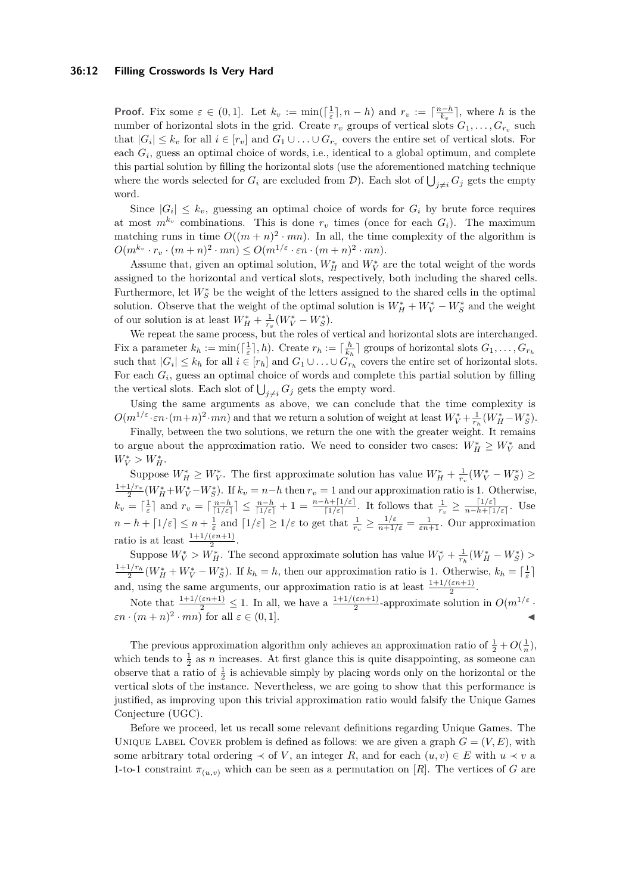### **36:12 Filling Crosswords Is Very Hard**

**Proof.** Fix some  $\varepsilon \in (0,1]$ . Let  $k_v := \min(\left[\frac{1}{\varepsilon}\right], n - h)$  and  $r_v := \left\lceil \frac{n-h}{k_v} \right\rceil$ , where *h* is the number of horizontal slots in the grid. Create  $r_v$  groups of vertical slots  $G_1, \ldots, G_{r_v}$  such that  $|G_i| \leq k_v$  for all  $i \in [r_v]$  and  $G_1 \cup \ldots \cup G_{r_v}$  covers the entire set of vertical slots. For each  $G_i$ , guess an optimal choice of words, i.e., identical to a global optimum, and complete this partial solution by filling the horizontal slots (use the aforementioned matching technique where the words selected for  $G_i$  are excluded from  $\mathcal{D}$ ). Each slot of  $\bigcup_{j\neq i} G_j$  gets the empty word.

Since  $|G_i| \leq k_v$ , guessing an optimal choice of words for  $G_i$  by brute force requires at most  $m^{k_v}$  combinations. This is done  $r_v$  times (once for each  $G_i$ ). The maximum matching runs in time  $O((m+n)^2 \cdot mn)$ . In all, the time complexity of the algorithm is  $O(m^{k_v} \cdot r_v \cdot (m+n)^2 \cdot mn) \leq O(m^{1/\varepsilon} \cdot \varepsilon n \cdot (m+n)^2 \cdot mn).$ 

Assume that, given an optimal solution,  $W_H^*$  and  $W_V^*$  are the total weight of the words assigned to the horizontal and vertical slots, respectively, both including the shared cells. Furthermore, let  $W_S^*$  be the weight of the letters assigned to the shared cells in the optimal solution. Observe that the weight of the optimal solution is  $W_H^* + W_V^* - W_S^*$  and the weight of our solution is at least  $W_H^* + \frac{1}{r_v}(W_V^* - W_S^*)$ .

We repeat the same process, but the roles of vertical and horizontal slots are interchanged. Fix a parameter  $k_h := \min(\lceil \frac{1}{\varepsilon} \rceil, h)$ . Create  $r_h := \lceil \frac{h}{k_h} \rceil$  groups of horizontal slots  $G_1, \ldots, G_{r_h}$ such that  $|G_i| \leq k_h$  for all  $i \in [r_h]$  and  $G_1 \cup \ldots \cup G_{r_h}$  covers the entire set of horizontal slots. For each  $G_i$ , guess an optimal choice of words and complete this partial solution by filling the vertical slots. Each slot of  $\bigcup_{j\neq i} G_j$  gets the empty word.

Using the same arguments as above, we can conclude that the time complexity is  $O(m^{1/\varepsilon} \cdot \varepsilon n \cdot (m+n)^2 \cdot mn)$  and that we return a solution of weight at least  $W_V^* + \frac{1}{r_h}(W_H^* - W_S^*)$ .

Finally, between the two solutions, we return the one with the greater weight. It remains to argue about the approximation ratio. We need to consider two cases:  $W_H^* \geq W_V^*$  and  $W_V^* > W_H^*$ .

Suppose  $W_H^* \geq W_V^*$ . The first approximate solution has value  $W_H^* + \frac{1}{r_v}(W_V^* - W_S^*) \geq$  $\frac{1+1/r_v}{2}(W_H^* + W_V^* - W_S^*)$ . If  $k_v = n-h$  then  $r_v = 1$  and our approximation ratio is 1. Otherwise,  $k_v = \lceil \frac{1}{\varepsilon} \rceil$  and  $r_v = \lceil \frac{n-h}{\lceil 1/\varepsilon \rceil} \rceil \leq \frac{n-h}{\lceil 1/\varepsilon \rceil} + 1 = \frac{n-h+\lceil 1/\varepsilon \rceil}{\lceil 1/\varepsilon \rceil}$ . It follows that  $\frac{1}{r_v} \geq \frac{\lceil 1/\varepsilon \rceil}{n-h+\lceil 1/\varepsilon \rceil}$  $\frac{|1/\varepsilon|}{n-h+[1/\varepsilon]}$ . Use  $n - h + \lceil 1/\varepsilon \rceil \leq n + \frac{1}{\varepsilon}$  and  $\lceil 1/\varepsilon \rceil \geq 1/\varepsilon$  to get that  $\frac{1}{r_v} \geq \frac{1/\varepsilon}{n+1/\varepsilon} = \frac{1}{\varepsilon n+1}$ . Our approximation ratio is at least  $\frac{1+1/(\varepsilon n+1)}{2}$ .

Suppose  $W_V^* > W_H^*$ . The second approximate solution has value  $W_V^* + \frac{1}{r_h}(W_H^* - W_S^*)$  $\frac{1+1/r_h}{2}(W_H^* + W_V^* - W_S^*)$ . If  $k_h = h$ , then our approximation ratio is 1. Otherwise,  $k_h = \lceil \frac{1}{\varepsilon} \rceil$ and, using the same arguments, our approximation ratio is at least  $\frac{1+1/(\varepsilon n+1)}{2}$ .

Note that  $\frac{1+1/(\varepsilon n+1)}{2} \leq 1$ . In all, we have a  $\frac{1+1/(\varepsilon n+1)}{2}$ -approximate solution in  $O(m^{1/\varepsilon})$ .  $\epsilon n \cdot (m+n)^2 \cdot mn$  for all  $\epsilon \in (0,1].$ 

The previous approximation algorithm only achieves an approximation ratio of  $\frac{1}{2} + O(\frac{1}{n})$ , which tends to  $\frac{1}{2}$  as *n* increases. At first glance this is quite disappointing, as someone can observe that a ratio of  $\frac{1}{2}$  is achievable simply by placing words only on the horizontal or the vertical slots of the instance. Nevertheless, we are going to show that this performance is justified, as improving upon this trivial approximation ratio would falsify the Unique Games Conjecture (UGC).

Before we proceed, let us recall some relevant definitions regarding Unique Games. The UNIQUE LABEL COVER problem is defined as follows: we are given a graph  $G = (V, E)$ , with some arbitrary total ordering  $\prec$  of *V*, an integer *R*, and for each  $(u, v) \in E$  with  $u \prec v$  a 1-to-1 constraint  $\pi_{(u,v)}$  which can be seen as a permutation on [*R*]. The vertices of *G* are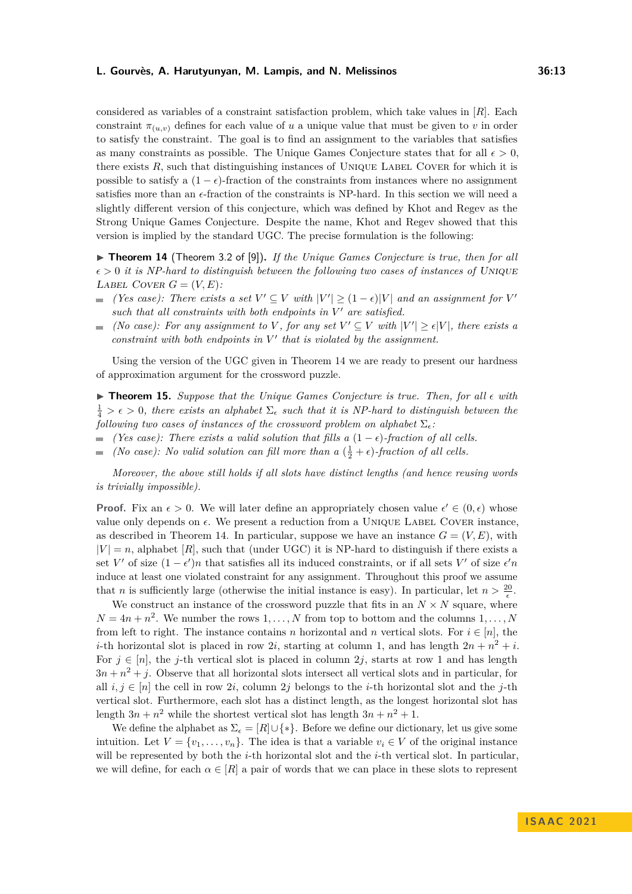considered as variables of a constraint satisfaction problem, which take values in [*R*]. Each constraint  $\pi_{(u,v)}$  defines for each value of *u* a unique value that must be given to *v* in order to satisfy the constraint. The goal is to find an assignment to the variables that satisfies as many constraints as possible. The Unique Games Conjecture states that for all  $\epsilon > 0$ , there exists  $R$ , such that distinguishing instances of UNIQUE LABEL COVER for which it is possible to satisfy a  $(1 - \epsilon)$ -fraction of the constraints from instances where no assignment satisfies more than an  $\epsilon$ -fraction of the constraints is NP-hard. In this section we will need a slightly different version of this conjecture, which was defined by Khot and Regev as the Strong Unique Games Conjecture. Despite the name, Khot and Regev showed that this version is implied by the standard UGC. The precise formulation is the following:

<span id="page-12-1"></span>▶ **Theorem 14** (Theorem 3.2 of [\[9\]](#page-14-10)). If the Unique Games Conjecture is true, then for all  $\epsilon > 0$  *it is NP-hard to distinguish between the following two cases of instances of UNIQUE* LABEL COVER  $G = (V, E)$ :

- *(Yes case): There exists a set*  $V' \subseteq V$  *with*  $|V'| \geq (1 \epsilon)|V|$  *and an assignment for*  $V'$ such that all constraints with both endpoints in  $V'$  are satisfied.
- *(No case): For any assignment to V, for any set*  $V' \subseteq V$  with  $|V'| \geq \epsilon |V|$ *, there exists a constraint with both endpoints in*  $V'$  *that is violated by the assignment.*

Using the version of the UGC given in Theorem [14](#page-12-1) we are ready to present our hardness of approximation argument for the crossword puzzle.

<span id="page-12-0"></span>▶ **Theorem 15.** *Suppose that the Unique Games Conjecture is true. Then, for all ϵ with*  $\frac{1}{4} > \epsilon > 0$ , there exists an alphabet  $\Sigma_{\epsilon}$  such that it is NP-hard to distinguish between the *following two cases of instances of the crossword problem on alphabet*  $\Sigma_{\epsilon}$ :

 $(Yes \ case): There \ exists \ a \ valid \ solution \ that \ fills \ a \ (1 - \epsilon) \-fraction \ of \ all \ cells.$ 

*(No case): No valid solution can fill more than a*  $(\frac{1}{2} + \epsilon)$ *-fraction of all cells.* 

*Moreover, the above still holds if all slots have distinct lengths (and hence reusing words is trivially impossible).*

**Proof.** Fix an  $\epsilon > 0$ . We will later define an appropriately chosen value  $\epsilon' \in (0, \epsilon)$  whose value only depends on  $\epsilon$ . We present a reduction from a UNIQUE LABEL COVER instance, as described in Theorem [14.](#page-12-1) In particular, suppose we have an instance  $G = (V, E)$ , with  $|V| = n$ , alphabet  $|R|$ , such that (under UGC) it is NP-hard to distinguish if there exists a set *V*' of size  $(1 - \epsilon')n$  that satisfies all its induced constraints, or if all sets *V*' of size  $\epsilon'n$ induce at least one violated constraint for any assignment. Throughout this proof we assume that *n* is sufficiently large (otherwise the initial instance is easy). In particular, let  $n > \frac{20}{\epsilon}$ .

We construct an instance of the crossword puzzle that fits in an  $N \times N$  square, where  $N = 4n + n^2$ . We number the rows  $1, \ldots, N$  from top to bottom and the columns  $1, \ldots, N$ from left to right. The instance contains *n* horizontal and *n* vertical slots. For  $i \in [n]$ , the *i*-th horizontal slot is placed in row 2*i*, starting at column 1, and has length  $2n + n^2 + i$ . For  $j \in [n]$ , the *j*-th vertical slot is placed in column 2*j*, starts at row 1 and has length  $3n + n^2 + j$ . Observe that all horizontal slots intersect all vertical slots and in particular, for all  $i, j \in [n]$  the cell in row 2*i*, column 2*j* belongs to the *i*-th horizontal slot and the *j*-th vertical slot. Furthermore, each slot has a distinct length, as the longest horizontal slot has length  $3n + n^2$  while the shortest vertical slot has length  $3n + n^2 + 1$ .

We define the alphabet as  $\Sigma_{\epsilon} = [R] \cup \{*\}$ . Before we define our dictionary, let us give some intuition. Let  $V = \{v_1, \ldots, v_n\}$ . The idea is that a variable  $v_i \in V$  of the original instance will be represented by both the *i*-th horizontal slot and the *i*-th vertical slot. In particular, we will define, for each  $\alpha \in [R]$  a pair of words that we can place in these slots to represent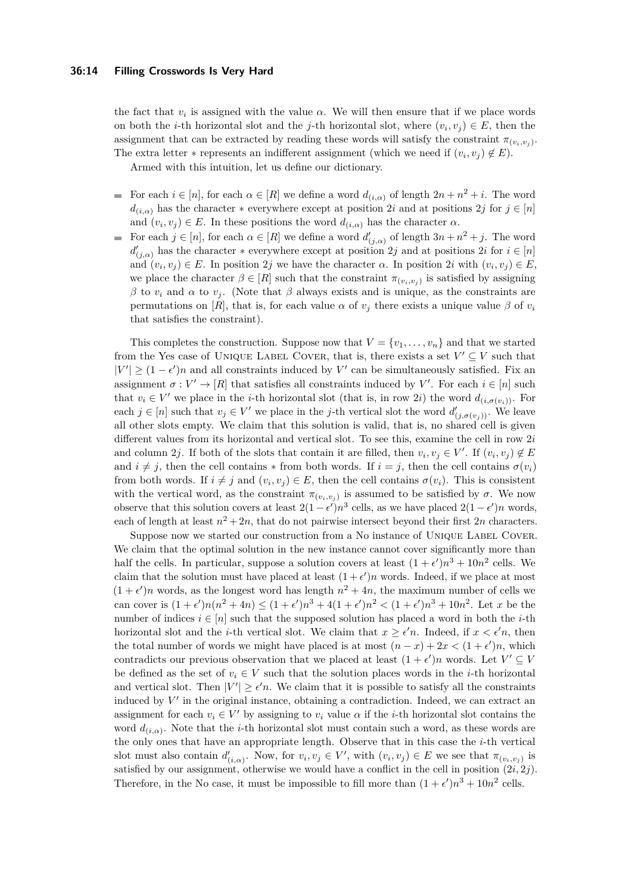#### **36:14 Filling Crosswords Is Very Hard**

the fact that  $v_i$  is assigned with the value  $\alpha$ . We will then ensure that if we place words on both the *i*-th horizontal slot and the *j*-th horizontal slot, where  $(v_i, v_j) \in E$ , then the assignment that can be extracted by reading these words will satisfy the constraint  $\pi_{(v_i, v_j)}$ . The extra letter  $*$  represents an indifferent assignment (which we need if  $(v_i, v_j) \notin E$ ).

Armed with this intuition, let us define our dictionary.

- For each  $i \in [n]$ , for each  $\alpha \in [R]$  we define a word  $d_{(i,\alpha)}$  of length  $2n + n^2 + i$ . The word  $d_{(i,\alpha)}$  has the character  $*$  everywhere except at position 2*i* and at positions 2*j* for  $j \in [n]$ and  $(v_i, v_j) \in E$ . In these positions the word  $d_{(i,\alpha)}$  has the character  $\alpha$ .
- For each  $j \in [n]$ , for each  $\alpha \in [R]$  we define a word  $d'_{(j,\alpha)}$  of length  $3n + n^2 + j$ . The word  $d'_{(j,\alpha)}$  has the character  $*$  everywhere except at position 2*j* and at positions 2*i* for  $i \in [n]$ and  $(v_i, v_j) \in E$ . In position 2*j* we have the character  $\alpha$ . In position 2*i* with  $(v_i, v_j) \in E$ , we place the character  $\beta \in [R]$  such that the constraint  $\pi_{(v_i, v_j)}$  is satisfied by assigning *β* to *v<sub>i</sub>* and *α* to *v<sub>j</sub>*. (Note that *β* always exists and is unique, as the constraints are permutations on [*R*], that is, for each value  $\alpha$  of  $v_j$  there exists a unique value  $\beta$  of  $v_i$ that satisfies the constraint).

This completes the construction. Suppose now that  $V = \{v_1, \ldots, v_n\}$  and that we started from the Yes case of UNIQUE LABEL COVER, that is, there exists a set  $V' \subseteq V$  such that  $|V'| \geq (1 - \epsilon')n$  and all constraints induced by V' can be simultaneously satisfied. Fix an assignment  $\sigma: V' \to [R]$  that satisfies all constraints induced by *V'*. For each  $i \in [n]$  such that  $v_i \in V'$  we place in the *i*-th horizontal slot (that is, in row 2*i*) the word  $d_{(i, \sigma(v_i))}$ . For each  $j \in [n]$  such that  $v_j \in V'$  we place in the *j*-th vertical slot the word  $d'_{(j,\sigma(v_j))}$ . We leave all other slots empty. We claim that this solution is valid, that is, no shared cell is given different values from its horizontal and vertical slot. To see this, examine the cell in row 2*i* and column 2*j*. If both of the slots that contain it are filled, then  $v_i, v_j \in V'$ . If  $(v_i, v_j) \notin E$ and  $i \neq j$ , then the cell contains  $*$  from both words. If  $i = j$ , then the cell contains  $\sigma(v_i)$ from both words. If  $i \neq j$  and  $(v_i, v_j) \in E$ , then the cell contains  $\sigma(v_i)$ . This is consistent with the vertical word, as the constraint  $\pi_{(v_i,v_j)}$  is assumed to be satisfied by  $\sigma$ . We now observe that this solution covers at least  $2(1 - \epsilon')n^3$  cells, as we have placed  $2(1 - \epsilon')n$  words, each of length at least  $n^2 + 2n$ , that do not pairwise intersect beyond their first  $2n$  characters.

Suppose now we started our construction from a No instance of UNIQUE LABEL COVER. We claim that the optimal solution in the new instance cannot cover significantly more than half the cells. In particular, suppose a solution covers at least  $(1 + \epsilon')n^3 + 10n^2$  cells. We claim that the solution must have placed at least  $(1 + \epsilon')n$  words. Indeed, if we place at most  $(1 + \epsilon')n$  words, as the longest word has length  $n^2 + 4n$ , the maximum number of cells we can cover is  $(1 + \epsilon')n(n^2 + 4n) \le (1 + \epsilon')n^3 + 4(1 + \epsilon')n^2 < (1 + \epsilon')n^3 + 10n^2$ . Let *x* be the number of indices  $i \in [n]$  such that the supposed solution has placed a word in both the *i*-th horizontal slot and the *i*-th vertical slot. We claim that  $x \geq \epsilon' n$ . Indeed, if  $x < \epsilon' n$ , then the total number of words we might have placed is at most  $(n - x) + 2x < (1 + \epsilon')n$ , which contradicts our previous observation that we placed at least  $(1 + \epsilon')n$  words. Let  $V' \subseteq V$ be defined as the set of  $v_i \in V$  such that the solution places words in the *i*-th horizontal and vertical slot. Then  $|V'| \ge \epsilon' n$ . We claim that it is possible to satisfy all the constraints induced by  $V'$  in the original instance, obtaining a contradiction. Indeed, we can extract an assignment for each  $v_i \in V'$  by assigning to  $v_i$  value  $\alpha$  if the *i*-th horizontal slot contains the word  $d_{(i,\alpha)}$ . Note that the *i*-th horizontal slot must contain such a word, as these words are the only ones that have an appropriate length. Observe that in this case the *i*-th vertical slot must also contain  $d'_{(i,\alpha)}$ . Now, for  $v_i, v_j \in V'$ , with  $(v_i, v_j) \in E$  we see that  $\pi_{(v_i, v_j)}$  is satisfied by our assignment, otherwise we would have a conflict in the cell in position  $(2i, 2j)$ . Therefore, in the No case, it must be impossible to fill more than  $(1 + \epsilon')n^3 + 10n^2$  cells.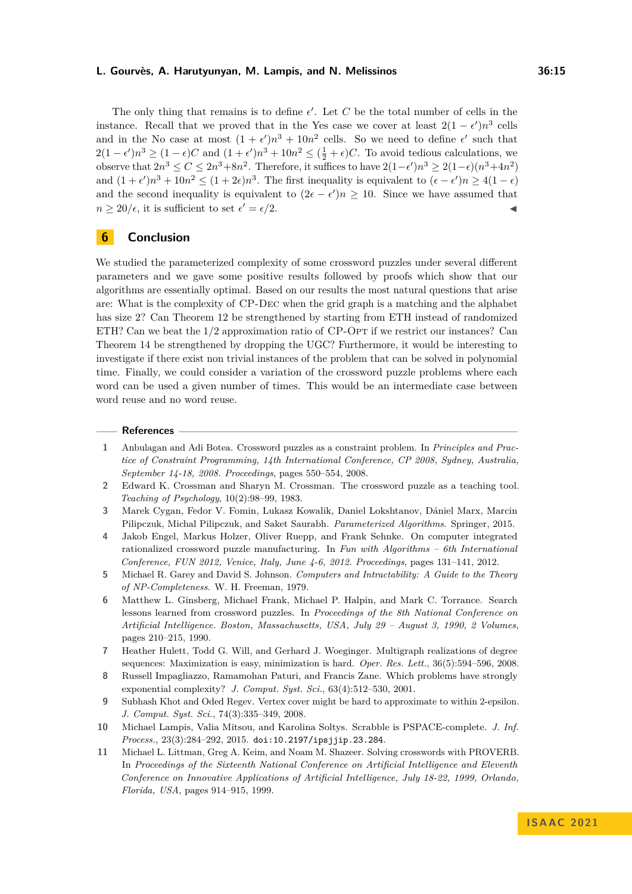The only thing that remains is to define  $\epsilon'$ . Let C be the total number of cells in the instance. Recall that we proved that in the Yes case we cover at least  $2(1 - \epsilon')n^3$  cells and in the No case at most  $(1 + \epsilon')n^3 + 10n^2$  cells. So we need to define  $\epsilon'$  such that 2(1 −  $\epsilon$ ') $n^3$  ≥ (1 −  $\epsilon$ )*C* and (1 +  $\epsilon$ ') $n^3$  + 10 $n^2$  ≤ ( $\frac{1}{2}$  +  $\epsilon$ )*C*. To avoid tedious calculations, we observe that  $2n^3 \le C \le 2n^3 + 8n^2$ . Therefore, it suffices to have  $2(1-\epsilon')n^3 \ge 2(1-\epsilon)(n^3+4n^2)$ and  $(1+\epsilon')n^3 + 10n^2 \le (1+2\epsilon)n^3$ . The first inequality is equivalent to  $(\epsilon - \epsilon')n \ge 4(1-\epsilon)$ and the second inequality is equivalent to  $(2\epsilon - \epsilon')n \geq 10$ . Since we have assumed that  $n \geq 20/\epsilon$ , it is sufficient to set  $\epsilon' = \epsilon/2$ .

### **6 Conclusion**

We studied the parameterized complexity of some crossword puzzles under several different parameters and we gave some positive results followed by proofs which show that our algorithms are essentially optimal. Based on our results the most natural questions that arise are: What is the complexity of CP-Dec when the grid graph is a matching and the alphabet has size 2? Can Theorem [12](#page-9-0) be strengthened by starting from ETH instead of randomized ETH? Can we beat the  $1/2$  approximation ratio of CP-OpT if we restrict our instances? Can Theorem [14](#page-12-1) be strengthened by dropping the UGC? Furthermore, it would be interesting to investigate if there exist non trivial instances of the problem that can be solved in polynomial time. Finally, we could consider a variation of the crossword puzzle problems where each word can be used a given number of times. This would be an intermediate case between word reuse and no word reuse.

### **References**

- <span id="page-14-6"></span>**1** Anbulagan and Adi Botea. Crossword puzzles as a constraint problem. In *Principles and Practice of Constraint Programming, 14th International Conference, CP 2008, Sydney, Australia, September 14-18, 2008. Proceedings*, pages 550–554, 2008.
- <span id="page-14-0"></span>**2** Edward K. Crossman and Sharyn M. Crossman. The crossword puzzle as a teaching tool. *Teaching of Psychology*, 10(2):98–99, 1983.
- <span id="page-14-8"></span>**3** Marek Cygan, Fedor V. Fomin, Lukasz Kowalik, Daniel Lokshtanov, Dániel Marx, Marcin Pilipczuk, Michal Pilipczuk, and Saket Saurabh. *Parameterized Algorithms*. Springer, 2015.
- <span id="page-14-2"></span>**4** Jakob Engel, Markus Holzer, Oliver Ruepp, and Frank Sehnke. On computer integrated rationalized crossword puzzle manufacturing. In *Fun with Algorithms – 6th International Conference, FUN 2012, Venice, Italy, June 4-6, 2012. Proceedings*, pages 131–141, 2012.
- <span id="page-14-1"></span>**5** Michael R. Garey and David S. Johnson. *Computers and Intractability: A Guide to the Theory of NP-Completeness*. W. H. Freeman, 1979.
- <span id="page-14-4"></span>**6** Matthew L. Ginsberg, Michael Frank, Michael P. Halpin, and Mark C. Torrance. Search lessons learned from crossword puzzles. In *Proceedings of the 8th National Conference on Artificial Intelligence. Boston, Massachusetts, USA, July 29 – August 3, 1990, 2 Volumes*, pages 210–215, 1990.
- <span id="page-14-9"></span>**7** Heather Hulett, Todd G. Will, and Gerhard J. Woeginger. Multigraph realizations of degree sequences: Maximization is easy, minimization is hard. *Oper. Res. Lett.*, 36(5):594–596, 2008.
- <span id="page-14-7"></span>**8** Russell Impagliazzo, Ramamohan Paturi, and Francis Zane. Which problems have strongly exponential complexity? *J. Comput. Syst. Sci.*, 63(4):512–530, 2001.
- <span id="page-14-10"></span>**9** Subhash Khot and Oded Regev. Vertex cover might be hard to approximate to within 2-epsilon. *J. Comput. Syst. Sci.*, 74(3):335–349, 2008.
- <span id="page-14-3"></span>**10** Michael Lampis, Valia Mitsou, and Karolina Soltys. Scrabble is PSPACE-complete. *J. Inf. Process.*, 23(3):284–292, 2015. [doi:10.2197/ipsjjip.23.284](https://doi.org/10.2197/ipsjjip.23.284).
- <span id="page-14-5"></span>**11** Michael L. Littman, Greg A. Keim, and Noam M. Shazeer. Solving crosswords with PROVERB. In *Proceedings of the Sixteenth National Conference on Artificial Intelligence and Eleventh Conference on Innovative Applications of Artificial Intelligence, July 18-22, 1999, Orlando, Florida, USA*, pages 914–915, 1999.